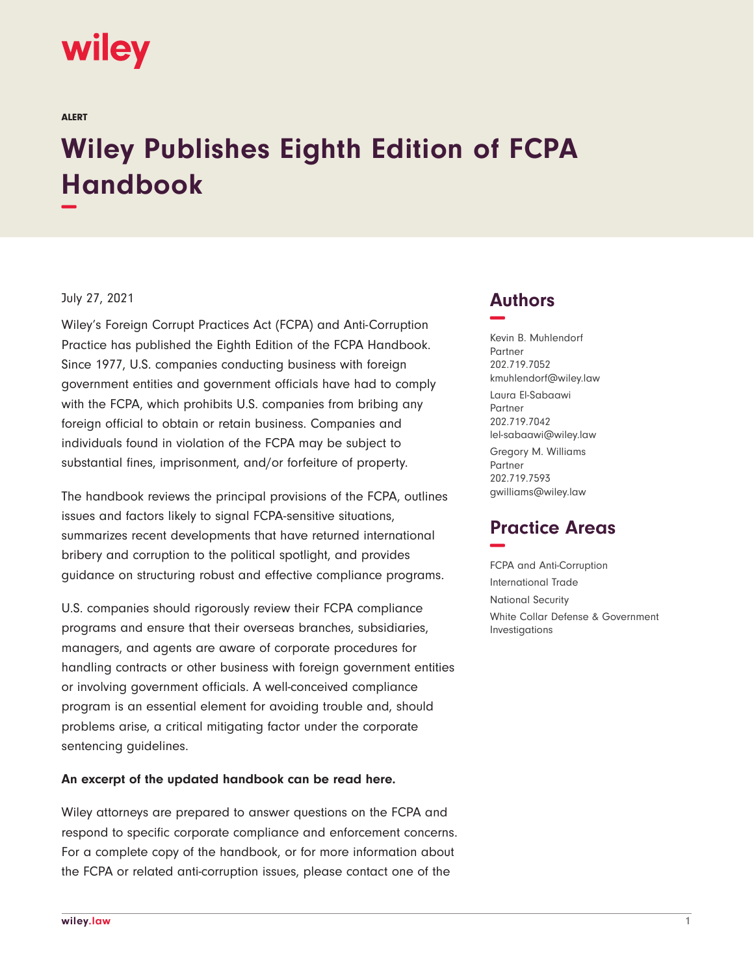# **wiley**

ALERT

# **Wiley Publishes Eighth Edition of FCPA Handbook −**

#### July 27, 2021

Wiley's Foreign Corrupt Practices Act (FCPA) and Anti-Corruption Practice has published the Eighth Edition of the FCPA Handbook. Since 1977, U.S. companies conducting business with foreign government entities and government officials have had to comply with the FCPA, which prohibits U.S. companies from bribing any foreign official to obtain or retain business. Companies and individuals found in violation of the FCPA may be subject to substantial fines, imprisonment, and/or forfeiture of property.

The handbook reviews the principal provisions of the FCPA, outlines issues and factors likely to signal FCPA-sensitive situations, summarizes recent developments that have returned international bribery and corruption to the political spotlight, and provides guidance on structuring robust and effective compliance programs.

U.S. companies should rigorously review their FCPA compliance programs and ensure that their overseas branches, subsidiaries, managers, and agents are aware of corporate procedures for handling contracts or other business with foreign government entities or involving government officials. A well-conceived compliance program is an essential element for avoiding trouble and, should problems arise, a critical mitigating factor under the corporate sentencing guidelines.

#### **An excerpt of the updated handbook can be read here.**

Wiley attorneys are prepared to answer questions on the FCPA and respond to specific corporate compliance and enforcement concerns. For a complete copy of the handbook, or for more information about the FCPA or related anti-corruption issues, please contact one of the

### **Authors −**

Kevin B. Muhlendorf Partner 202.719.7052 kmuhlendorf@wiley.law Laura El-Sabaawi Partner 202.719.7042 lel-sabaawi@wiley.law Gregory M. Williams Partner 202.719.7593 gwilliams@wiley.law

## **Practice Areas −**

FCPA and Anti-Corruption International Trade National Security White Collar Defense & Government Investigations